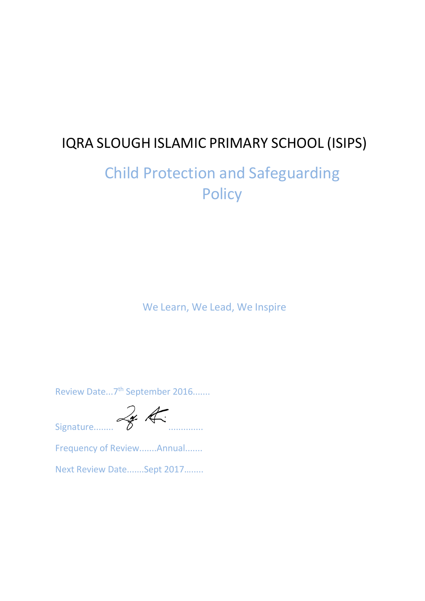# IQRA SLOUGH ISLAMIC PRIMARY SCHOOL (ISIPS)

# Child Protection and Safeguarding **Policy**

We Learn, We Lead, We Inspire

Review Date...7<sup>th</sup> September 2016.......

Signature........ ..............

Frequency of Review.......Annual.......

Next Review Date.......Sept 2017….....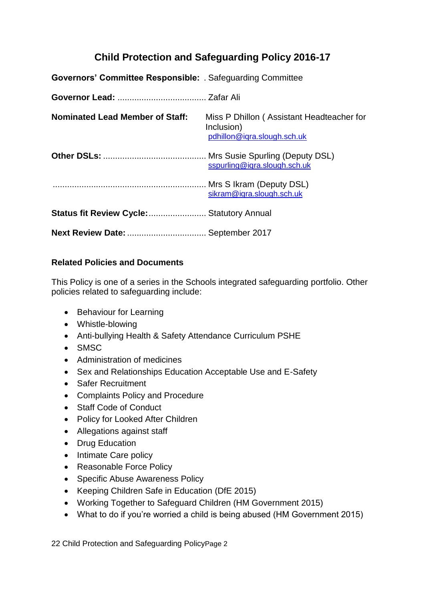# **Child Protection and Safeguarding Policy 2016-17**

| <b>Governors' Committee Responsible:</b> . Safeguarding Committee |                                                                                        |
|-------------------------------------------------------------------|----------------------------------------------------------------------------------------|
|                                                                   |                                                                                        |
| <b>Nominated Lead Member of Staff:</b>                            | Miss P Dhillon (Assistant Headteacher for<br>Inclusion)<br>pdhillon@iqra.slough.sch.uk |
|                                                                   | sspurling@iqra.slough.sch.uk                                                           |
|                                                                   | sikram@iqra.slough.sch.uk                                                              |
| <b>Status fit Review Cycle:  Statutory Annual</b>                 |                                                                                        |
| Next Review Date:  September 2017                                 |                                                                                        |

# **Related Policies and Documents**

This Policy is one of a series in the Schools integrated safeguarding portfolio. Other policies related to safeguarding include:

- Behaviour for Learning
- Whistle-blowing
- Anti-bullying Health & Safety Attendance Curriculum PSHE
- SMSC
- Administration of medicines
- Sex and Relationships Education Acceptable Use and E-Safety
- Safer Recruitment
- Complaints Policy and Procedure
- Staff Code of Conduct
- Policy for Looked After Children
- Allegations against staff
- Drug Education
- Intimate Care policy
- Reasonable Force Policy
- Specific Abuse Awareness Policy
- Keeping Children Safe in Education (DfE 2015)
- Working Together to Safeguard Children (HM Government 2015)
- What to do if you're worried a child is being abused (HM Government 2015)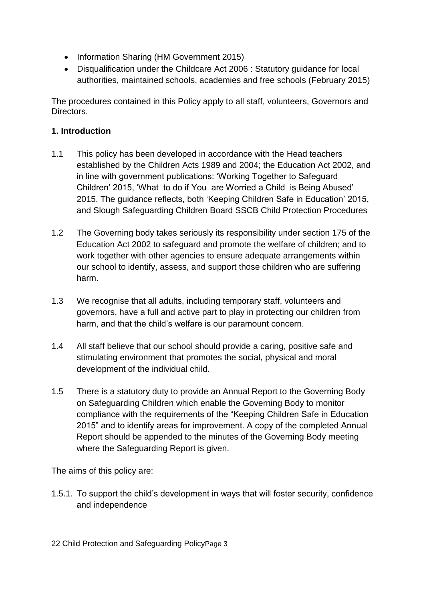- Information Sharing (HM Government 2015)
- Disqualification under the Childcare Act 2006 : Statutory guidance for local authorities, maintained schools, academies and free schools (February 2015)

The procedures contained in this Policy apply to all staff, volunteers, Governors and Directors.

# **1. Introduction**

- 1.1 This policy has been developed in accordance with the Head teachers established by the Children Acts 1989 and 2004; the Education Act 2002, and in line with government publications: 'Working Together to Safeguard Children' 2015, 'What to do if You are Worried a Child is Being Abused' 2015. The guidance reflects, both 'Keeping Children Safe in Education' 2015, and Slough Safeguarding Children Board SSCB Child Protection Procedures
- 1.2 The Governing body takes seriously its responsibility under section 175 of the Education Act 2002 to safeguard and promote the welfare of children; and to work together with other agencies to ensure adequate arrangements within our school to identify, assess, and support those children who are suffering harm.
- 1.3 We recognise that all adults, including temporary staff, volunteers and governors, have a full and active part to play in protecting our children from harm, and that the child's welfare is our paramount concern.
- 1.4 All staff believe that our school should provide a caring, positive safe and stimulating environment that promotes the social, physical and moral development of the individual child.
- 1.5 There is a statutory duty to provide an Annual Report to the Governing Body on Safeguarding Children which enable the Governing Body to monitor compliance with the requirements of the "Keeping Children Safe in Education 2015" and to identify areas for improvement. A copy of the completed Annual Report should be appended to the minutes of the Governing Body meeting where the Safeguarding Report is given.

The aims of this policy are:

1.5.1. To support the child's development in ways that will foster security, confidence and independence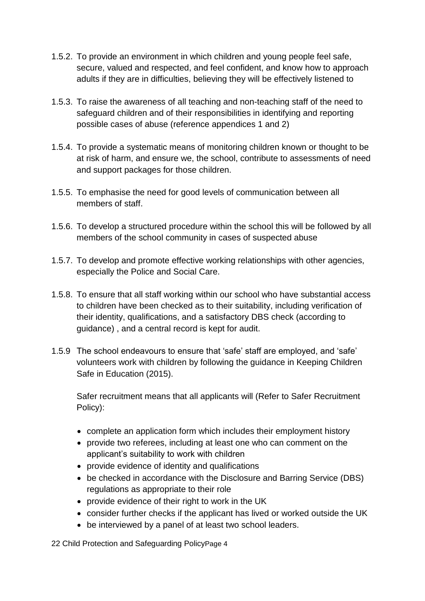- 1.5.2. To provide an environment in which children and young people feel safe, secure, valued and respected, and feel confident, and know how to approach adults if they are in difficulties, believing they will be effectively listened to
- 1.5.3. To raise the awareness of all teaching and non-teaching staff of the need to safeguard children and of their responsibilities in identifying and reporting possible cases of abuse (reference appendices 1 and 2)
- 1.5.4. To provide a systematic means of monitoring children known or thought to be at risk of harm, and ensure we, the school, contribute to assessments of need and support packages for those children.
- 1.5.5. To emphasise the need for good levels of communication between all members of staff.
- 1.5.6. To develop a structured procedure within the school this will be followed by all members of the school community in cases of suspected abuse
- 1.5.7. To develop and promote effective working relationships with other agencies, especially the Police and Social Care.
- 1.5.8. To ensure that all staff working within our school who have substantial access to children have been checked as to their suitability, including verification of their identity, qualifications, and a satisfactory DBS check (according to guidance) , and a central record is kept for audit.
- 1.5.9 The school endeavours to ensure that 'safe' staff are employed, and 'safe' volunteers work with children by following the guidance in Keeping Children Safe in Education (2015).

Safer recruitment means that all applicants will (Refer to Safer Recruitment Policy):

- complete an application form which includes their employment history
- provide two referees, including at least one who can comment on the applicant's suitability to work with children
- provide evidence of identity and qualifications
- be checked in accordance with the Disclosure and Barring Service (DBS) regulations as appropriate to their role
- provide evidence of their right to work in the UK
- consider further checks if the applicant has lived or worked outside the UK
- be interviewed by a panel of at least two school leaders.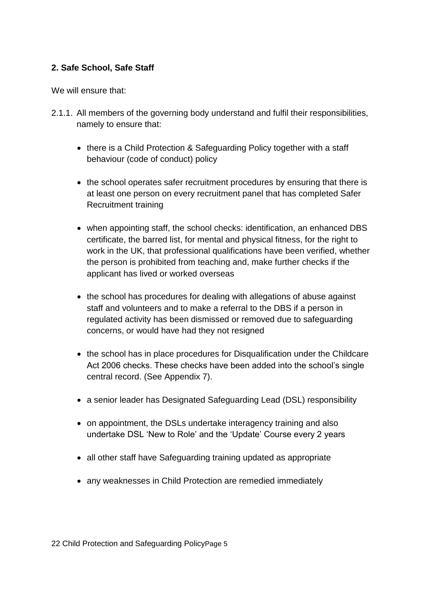# **2. Safe School, Safe Staff**

We will ensure that:

- 2.1.1. All members of the governing body understand and fulfil their responsibilities, namely to ensure that:
	- there is a Child Protection & Safeguarding Policy together with a staff behaviour (code of conduct) policy
	- the school operates safer recruitment procedures by ensuring that there is at least one person on every recruitment panel that has completed Safer Recruitment training
	- when appointing staff, the school checks: identification, an enhanced DBS certificate, the barred list, for mental and physical fitness, for the right to work in the UK, that professional qualifications have been verified, whether the person is prohibited from teaching and, make further checks if the applicant has lived or worked overseas
	- the school has procedures for dealing with allegations of abuse against staff and volunteers and to make a referral to the DBS if a person in regulated activity has been dismissed or removed due to safeguarding concerns, or would have had they not resigned
	- the school has in place procedures for Disqualification under the Childcare Act 2006 checks. These checks have been added into the school's single central record. (See Appendix 7).
	- a senior leader has Designated Safeguarding Lead (DSL) responsibility
	- on appointment, the DSLs undertake interagency training and also undertake DSL 'New to Role' and the 'Update' Course every 2 years
	- all other staff have Safeguarding training updated as appropriate
	- any weaknesses in Child Protection are remedied immediately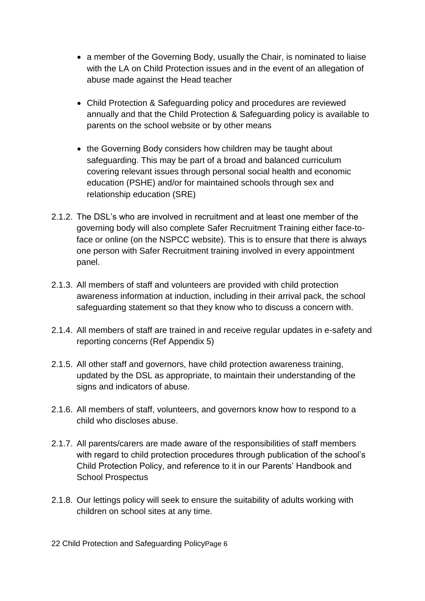- a member of the Governing Body, usually the Chair, is nominated to liaise with the LA on Child Protection issues and in the event of an allegation of abuse made against the Head teacher
- Child Protection & Safeguarding policy and procedures are reviewed annually and that the Child Protection & Safeguarding policy is available to parents on the school website or by other means
- the Governing Body considers how children may be taught about safeguarding. This may be part of a broad and balanced curriculum covering relevant issues through personal social health and economic education (PSHE) and/or for maintained schools through sex and relationship education (SRE)
- 2.1.2. The DSL's who are involved in recruitment and at least one member of the governing body will also complete Safer Recruitment Training either face-toface or online (on the NSPCC website). This is to ensure that there is always one person with Safer Recruitment training involved in every appointment panel.
- 2.1.3. All members of staff and volunteers are provided with child protection awareness information at induction, including in their arrival pack, the school safeguarding statement so that they know who to discuss a concern with.
- 2.1.4. All members of staff are trained in and receive regular updates in e-safety and reporting concerns (Ref Appendix 5)
- 2.1.5. All other staff and governors, have child protection awareness training, updated by the DSL as appropriate, to maintain their understanding of the signs and indicators of abuse.
- 2.1.6. All members of staff, volunteers, and governors know how to respond to a child who discloses abuse.
- 2.1.7. All parents/carers are made aware of the responsibilities of staff members with regard to child protection procedures through publication of the school's Child Protection Policy, and reference to it in our Parents' Handbook and School Prospectus
- 2.1.8. Our lettings policy will seek to ensure the suitability of adults working with children on school sites at any time.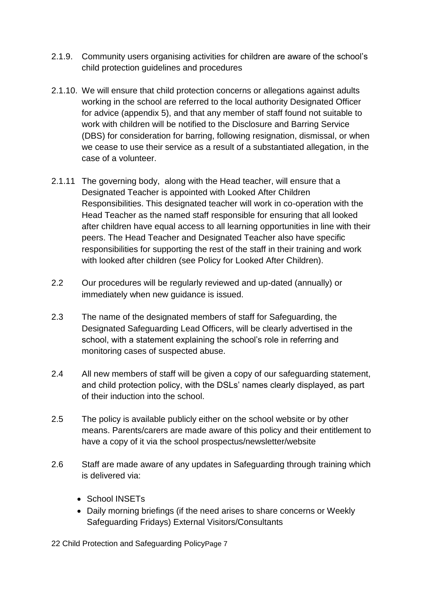- 2.1.9. Community users organising activities for children are aware of the school's child protection guidelines and procedures
- 2.1.10. We will ensure that child protection concerns or allegations against adults working in the school are referred to the local authority Designated Officer for advice (appendix 5), and that any member of staff found not suitable to work with children will be notified to the Disclosure and Barring Service (DBS) for consideration for barring, following resignation, dismissal, or when we cease to use their service as a result of a substantiated allegation, in the case of a volunteer.
- 2.1.11 The governing body, along with the Head teacher, will ensure that a Designated Teacher is appointed with Looked After Children Responsibilities. This designated teacher will work in co-operation with the Head Teacher as the named staff responsible for ensuring that all looked after children have equal access to all learning opportunities in line with their peers. The Head Teacher and Designated Teacher also have specific responsibilities for supporting the rest of the staff in their training and work with looked after children (see Policy for Looked After Children).
- 2.2 Our procedures will be regularly reviewed and up-dated (annually) or immediately when new guidance is issued.
- 2.3 The name of the designated members of staff for Safeguarding, the Designated Safeguarding Lead Officers, will be clearly advertised in the school, with a statement explaining the school's role in referring and monitoring cases of suspected abuse.
- 2.4 All new members of staff will be given a copy of our safeguarding statement, and child protection policy, with the DSLs' names clearly displayed, as part of their induction into the school.
- 2.5 The policy is available publicly either on the school website or by other means. Parents/carers are made aware of this policy and their entitlement to have a copy of it via the school prospectus/newsletter/website
- 2.6 Staff are made aware of any updates in Safeguarding through training which is delivered via:
	- School INSETs
	- Daily morning briefings (if the need arises to share concerns or Weekly Safeguarding Fridays) External Visitors/Consultants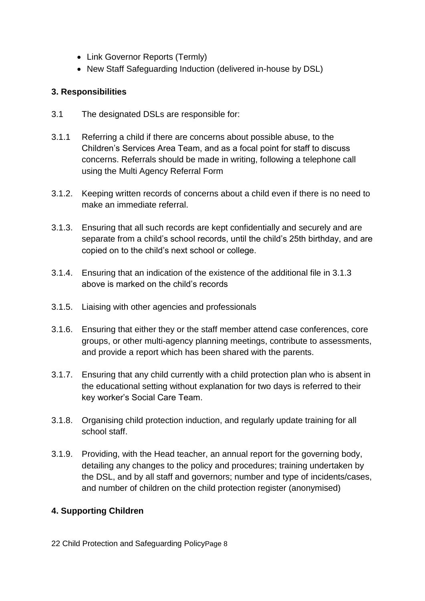- Link Governor Reports (Termly)
- New Staff Safeguarding Induction (delivered in-house by DSL)

# **3. Responsibilities**

- 3.1 The designated DSLs are responsible for:
- 3.1.1 Referring a child if there are concerns about possible abuse, to the Children's Services Area Team, and as a focal point for staff to discuss concerns. Referrals should be made in writing, following a telephone call using the Multi Agency Referral Form
- 3.1.2. Keeping written records of concerns about a child even if there is no need to make an immediate referral.
- 3.1.3. Ensuring that all such records are kept confidentially and securely and are separate from a child's school records, until the child's 25th birthday, and are copied on to the child's next school or college.
- 3.1.4. Ensuring that an indication of the existence of the additional file in 3.1.3 above is marked on the child's records
- 3.1.5. Liaising with other agencies and professionals
- 3.1.6. Ensuring that either they or the staff member attend case conferences, core groups, or other multi-agency planning meetings, contribute to assessments, and provide a report which has been shared with the parents.
- 3.1.7. Ensuring that any child currently with a child protection plan who is absent in the educational setting without explanation for two days is referred to their key worker's Social Care Team.
- 3.1.8. Organising child protection induction, and regularly update training for all school staff.
- 3.1.9. Providing, with the Head teacher, an annual report for the governing body, detailing any changes to the policy and procedures; training undertaken by the DSL, and by all staff and governors; number and type of incidents/cases, and number of children on the child protection register (anonymised)

# **4. Supporting Children**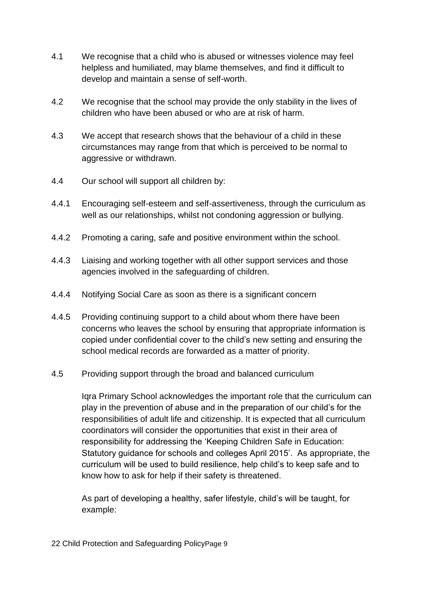- 4.1 We recognise that a child who is abused or witnesses violence may feel helpless and humiliated, may blame themselves, and find it difficult to develop and maintain a sense of self-worth.
- 4.2 We recognise that the school may provide the only stability in the lives of children who have been abused or who are at risk of harm.
- 4.3 We accept that research shows that the behaviour of a child in these circumstances may range from that which is perceived to be normal to aggressive or withdrawn.
- 4.4 Our school will support all children by:
- 4.4.1 Encouraging self-esteem and self-assertiveness, through the curriculum as well as our relationships, whilst not condoning aggression or bullying.
- 4.4.2 Promoting a caring, safe and positive environment within the school.
- 4.4.3 Liaising and working together with all other support services and those agencies involved in the safeguarding of children.
- 4.4.4 Notifying Social Care as soon as there is a significant concern
- 4.4.5 Providing continuing support to a child about whom there have been concerns who leaves the school by ensuring that appropriate information is copied under confidential cover to the child's new setting and ensuring the school medical records are forwarded as a matter of priority.
- 4.5 Providing support through the broad and balanced curriculum

Iqra Primary School acknowledges the important role that the curriculum can play in the prevention of abuse and in the preparation of our child's for the responsibilities of adult life and citizenship. It is expected that all curriculum coordinators will consider the opportunities that exist in their area of responsibility for addressing the 'Keeping Children Safe in Education: Statutory guidance for schools and colleges April 2015'. As appropriate, the curriculum will be used to build resilience, help child's to keep safe and to know how to ask for help if their safety is threatened.

As part of developing a healthy, safer lifestyle, child's will be taught, for example: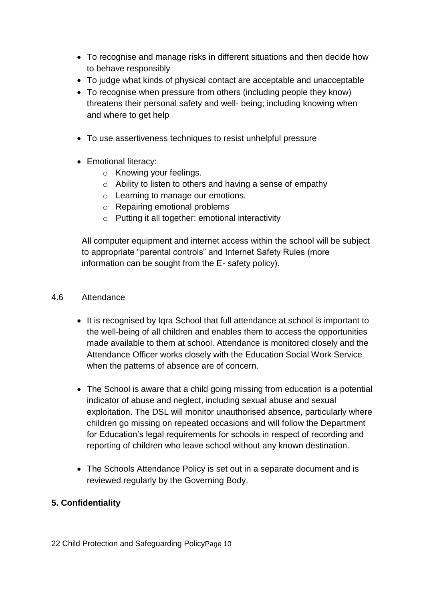- To recognise and manage risks in different situations and then decide how to behave responsibly
- To judge what kinds of physical contact are acceptable and unacceptable
- To recognise when pressure from others (including people they know) threatens their personal safety and well- being; including knowing when and where to get help
- To use assertiveness techniques to resist unhelpful pressure
- Emotional literacy:
	- o Knowing your feelings.
	- o Ability to listen to others and having a sense of empathy
	- o Learning to manage our emotions.
	- o Repairing emotional problems
	- o Putting it all together: emotional interactivity

All computer equipment and internet access within the school will be subject to appropriate "parental controls" and Internet Safety Rules (more information can be sought from the E- safety policy).

#### 4.6 Attendance

- It is recognised by Iqra School that full attendance at school is important to the well-being of all children and enables them to access the opportunities made available to them at school. Attendance is monitored closely and the Attendance Officer works closely with the Education Social Work Service when the patterns of absence are of concern.
- The School is aware that a child going missing from education is a potential indicator of abuse and neglect, including sexual abuse and sexual exploitation. The DSL will monitor unauthorised absence, particularly where children go missing on repeated occasions and will follow the Department for Education's legal requirements for schools in respect of recording and reporting of children who leave school without any known destination.
- The Schools Attendance Policy is set out in a separate document and is reviewed regularly by the Governing Body.

# **5. Confidentiality**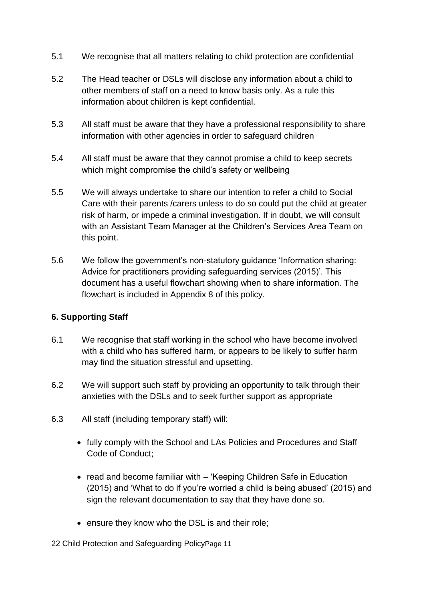- 5.1 We recognise that all matters relating to child protection are confidential
- 5.2 The Head teacher or DSLs will disclose any information about a child to other members of staff on a need to know basis only. As a rule this information about children is kept confidential.
- 5.3 All staff must be aware that they have a professional responsibility to share information with other agencies in order to safeguard children
- 5.4 All staff must be aware that they cannot promise a child to keep secrets which might compromise the child's safety or wellbeing
- 5.5 We will always undertake to share our intention to refer a child to Social Care with their parents /carers unless to do so could put the child at greater risk of harm, or impede a criminal investigation. If in doubt, we will consult with an Assistant Team Manager at the Children's Services Area Team on this point.
- 5.6 We follow the government's non-statutory guidance 'Information sharing: Advice for practitioners providing safeguarding services (2015)'. This document has a useful flowchart showing when to share information. The flowchart is included in Appendix 8 of this policy.

# **6. Supporting Staff**

- 6.1 We recognise that staff working in the school who have become involved with a child who has suffered harm, or appears to be likely to suffer harm may find the situation stressful and upsetting.
- 6.2 We will support such staff by providing an opportunity to talk through their anxieties with the DSLs and to seek further support as appropriate
- 6.3 All staff (including temporary staff) will:
	- fully comply with the School and LAs Policies and Procedures and Staff Code of Conduct;
	- read and become familiar with 'Keeping Children Safe in Education (2015) and 'What to do if you're worried a child is being abused' (2015) and sign the relevant documentation to say that they have done so.
	- ensure they know who the DSL is and their role;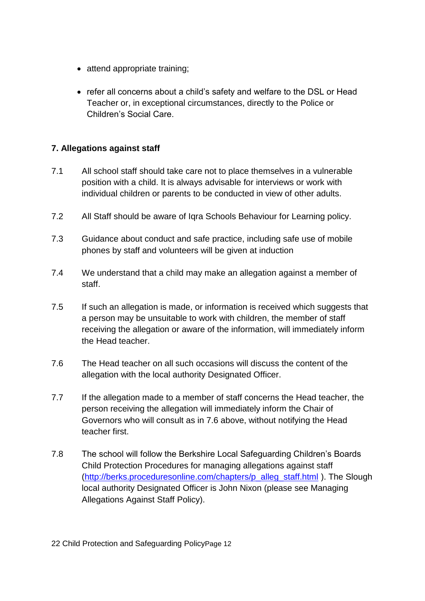- attend appropriate training:
- refer all concerns about a child's safety and welfare to the DSL or Head Teacher or, in exceptional circumstances, directly to the Police or Children's Social Care.

# **7. Allegations against staff**

- 7.1 All school staff should take care not to place themselves in a vulnerable position with a child. It is always advisable for interviews or work with individual children or parents to be conducted in view of other adults.
- 7.2 All Staff should be aware of Iqra Schools Behaviour for Learning policy.
- 7.3 Guidance about conduct and safe practice, including safe use of mobile phones by staff and volunteers will be given at induction
- 7.4 We understand that a child may make an allegation against a member of staff.
- 7.5 If such an allegation is made, or information is received which suggests that a person may be unsuitable to work with children, the member of staff receiving the allegation or aware of the information, will immediately inform the Head teacher.
- 7.6 The Head teacher on all such occasions will discuss the content of the allegation with the local authority Designated Officer.
- 7.7 If the allegation made to a member of staff concerns the Head teacher, the person receiving the allegation will immediately inform the Chair of Governors who will consult as in 7.6 above, without notifying the Head teacher first.
- 7.8 The school will follow the Berkshire Local Safeguarding Children's Boards Child Protection Procedures for managing allegations against staff [\(http://berks.proceduresonline.com/chapters/p\\_alleg\\_staff.html](http://berks.proceduresonline.com/chapters/p_alleg_staff.html) ). The Slough local authority Designated Officer is John Nixon (please see Managing Allegations Against Staff Policy).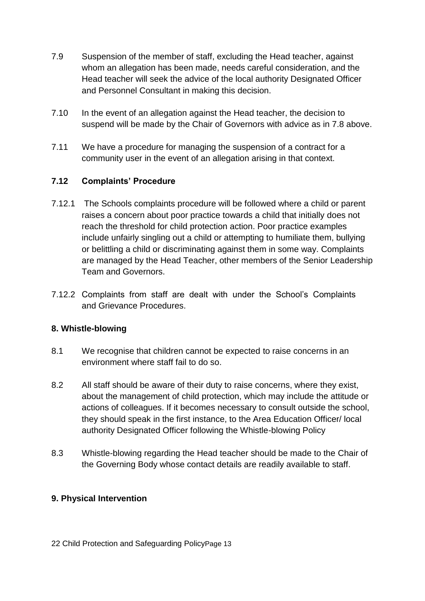- 7.9 Suspension of the member of staff, excluding the Head teacher, against whom an allegation has been made, needs careful consideration, and the Head teacher will seek the advice of the local authority Designated Officer and Personnel Consultant in making this decision.
- 7.10 In the event of an allegation against the Head teacher, the decision to suspend will be made by the Chair of Governors with advice as in 7.8 above.
- 7.11 We have a procedure for managing the suspension of a contract for a community user in the event of an allegation arising in that context.

# **7.12 Complaints' Procedure**

- 7.12.1 The Schools complaints procedure will be followed where a child or parent raises a concern about poor practice towards a child that initially does not reach the threshold for child protection action. Poor practice examples include unfairly singling out a child or attempting to humiliate them, bullying or belittling a child or discriminating against them in some way. Complaints are managed by the Head Teacher, other members of the Senior Leadership Team and Governors.
- 7.12.2 Complaints from staff are dealt with under the School's Complaints and Grievance Procedures.

# **8. Whistle-blowing**

- 8.1 We recognise that children cannot be expected to raise concerns in an environment where staff fail to do so.
- 8.2 All staff should be aware of their duty to raise concerns, where they exist, about the management of child protection, which may include the attitude or actions of colleagues. If it becomes necessary to consult outside the school, they should speak in the first instance, to the Area Education Officer/ local authority Designated Officer following the Whistle-blowing Policy
- 8.3 Whistle-blowing regarding the Head teacher should be made to the Chair of the Governing Body whose contact details are readily available to staff.

# **9. Physical Intervention**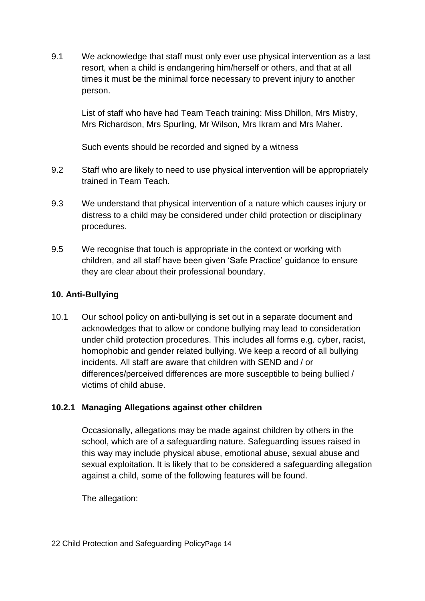9.1 We acknowledge that staff must only ever use physical intervention as a last resort, when a child is endangering him/herself or others, and that at all times it must be the minimal force necessary to prevent injury to another person.

List of staff who have had Team Teach training: Miss Dhillon, Mrs Mistry, Mrs Richardson, Mrs Spurling, Mr Wilson, Mrs Ikram and Mrs Maher.

Such events should be recorded and signed by a witness

- 9.2 Staff who are likely to need to use physical intervention will be appropriately trained in Team Teach.
- 9.3 We understand that physical intervention of a nature which causes injury or distress to a child may be considered under child protection or disciplinary procedures.
- 9.5 We recognise that touch is appropriate in the context or working with children, and all staff have been given 'Safe Practice' guidance to ensure they are clear about their professional boundary.

# **10. Anti-Bullying**

10.1 Our school policy on anti-bullying is set out in a separate document and acknowledges that to allow or condone bullying may lead to consideration under child protection procedures. This includes all forms e.g. cyber, racist, homophobic and gender related bullying. We keep a record of all bullying incidents. All staff are aware that children with SEND and / or differences/perceived differences are more susceptible to being bullied / victims of child abuse.

# **10.2.1 Managing Allegations against other children**

Occasionally, allegations may be made against children by others in the school, which are of a safeguarding nature. Safeguarding issues raised in this way may include physical abuse, emotional abuse, sexual abuse and sexual exploitation. It is likely that to be considered a safeguarding allegation against a child, some of the following features will be found.

The allegation: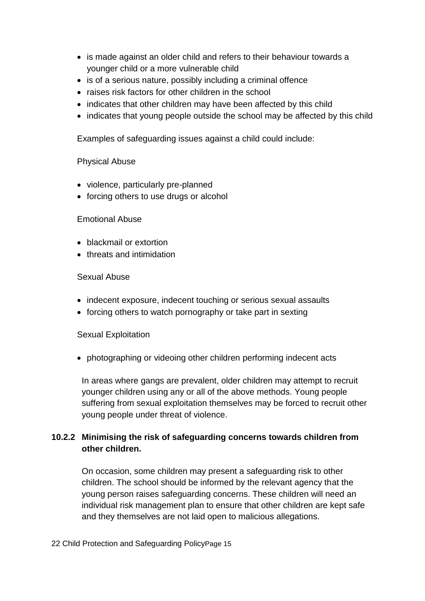- is made against an older child and refers to their behaviour towards a younger child or a more vulnerable child
- is of a serious nature, possibly including a criminal offence
- raises risk factors for other children in the school
- indicates that other children may have been affected by this child
- indicates that young people outside the school may be affected by this child

Examples of safeguarding issues against a child could include:

#### Physical Abuse

- violence, particularly pre-planned
- forcing others to use drugs or alcohol

#### Emotional Abuse

- blackmail or extortion
- threats and intimidation

#### Sexual Abuse

- indecent exposure, indecent touching or serious sexual assaults
- forcing others to watch pornography or take part in sexting

#### Sexual Exploitation

• photographing or videoing other children performing indecent acts

In areas where gangs are prevalent, older children may attempt to recruit younger children using any or all of the above methods. Young people suffering from sexual exploitation themselves may be forced to recruit other young people under threat of violence.

# **10.2.2 Minimising the risk of safeguarding concerns towards children from other children.**

On occasion, some children may present a safeguarding risk to other children. The school should be informed by the relevant agency that the young person raises safeguarding concerns. These children will need an individual risk management plan to ensure that other children are kept safe and they themselves are not laid open to malicious allegations.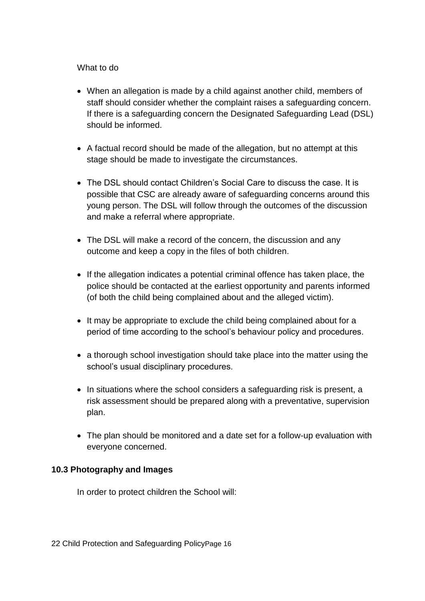#### What to do

- When an allegation is made by a child against another child, members of staff should consider whether the complaint raises a safeguarding concern. If there is a safeguarding concern the Designated Safeguarding Lead (DSL) should be informed.
- A factual record should be made of the allegation, but no attempt at this stage should be made to investigate the circumstances.
- The DSL should contact Children's Social Care to discuss the case. It is possible that CSC are already aware of safeguarding concerns around this young person. The DSL will follow through the outcomes of the discussion and make a referral where appropriate.
- The DSL will make a record of the concern, the discussion and any outcome and keep a copy in the files of both children.
- If the allegation indicates a potential criminal offence has taken place, the police should be contacted at the earliest opportunity and parents informed (of both the child being complained about and the alleged victim).
- It may be appropriate to exclude the child being complained about for a period of time according to the school's behaviour policy and procedures.
- a thorough school investigation should take place into the matter using the school's usual disciplinary procedures.
- In situations where the school considers a safeguarding risk is present, a risk assessment should be prepared along with a preventative, supervision plan.
- The plan should be monitored and a date set for a follow-up evaluation with everyone concerned.

# **10.3 Photography and Images**

In order to protect children the School will: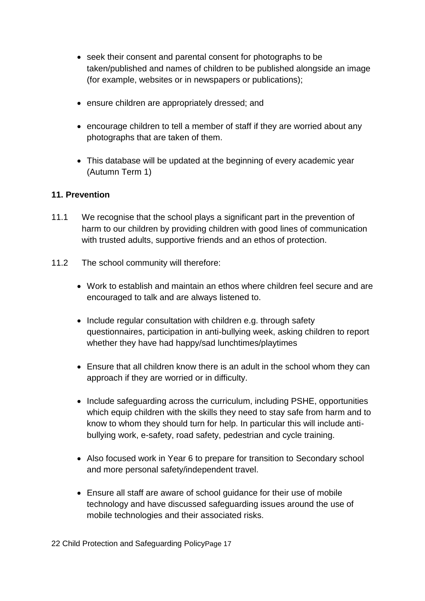- seek their consent and parental consent for photographs to be taken/published and names of children to be published alongside an image (for example, websites or in newspapers or publications);
- ensure children are appropriately dressed; and
- encourage children to tell a member of staff if they are worried about any photographs that are taken of them.
- This database will be updated at the beginning of every academic year (Autumn Term 1)

# **11. Prevention**

- 11.1 We recognise that the school plays a significant part in the prevention of harm to our children by providing children with good lines of communication with trusted adults, supportive friends and an ethos of protection.
- 11.2 The school community will therefore:
	- Work to establish and maintain an ethos where children feel secure and are encouraged to talk and are always listened to.
	- Include regular consultation with children e.g. through safety questionnaires, participation in anti-bullying week, asking children to report whether they have had happy/sad lunchtimes/playtimes
	- Ensure that all children know there is an adult in the school whom they can approach if they are worried or in difficulty.
	- Include safeguarding across the curriculum, including PSHE, opportunities which equip children with the skills they need to stay safe from harm and to know to whom they should turn for help. In particular this will include antibullying work, e-safety, road safety, pedestrian and cycle training.
	- Also focused work in Year 6 to prepare for transition to Secondary school and more personal safety/independent travel.
	- Ensure all staff are aware of school guidance for their use of mobile technology and have discussed safeguarding issues around the use of mobile technologies and their associated risks.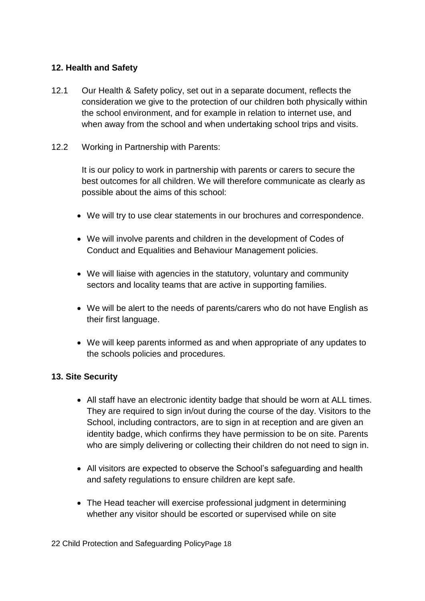#### **12. Health and Safety**

- 12.1 Our Health & Safety policy, set out in a separate document, reflects the consideration we give to the protection of our children both physically within the school environment, and for example in relation to internet use, and when away from the school and when undertaking school trips and visits.
- 12.2 Working in Partnership with Parents:

It is our policy to work in partnership with parents or carers to secure the best outcomes for all children. We will therefore communicate as clearly as possible about the aims of this school:

- We will try to use clear statements in our brochures and correspondence.
- We will involve parents and children in the development of Codes of Conduct and Equalities and Behaviour Management policies.
- We will liaise with agencies in the statutory, voluntary and community sectors and locality teams that are active in supporting families.
- We will be alert to the needs of parents/carers who do not have English as their first language.
- We will keep parents informed as and when appropriate of any updates to the schools policies and procedures.

# **13. Site Security**

- All staff have an electronic identity badge that should be worn at ALL times. They are required to sign in/out during the course of the day. Visitors to the School, including contractors, are to sign in at reception and are given an identity badge, which confirms they have permission to be on site. Parents who are simply delivering or collecting their children do not need to sign in.
- All visitors are expected to observe the School's safeguarding and health and safety regulations to ensure children are kept safe.
- The Head teacher will exercise professional judgment in determining whether any visitor should be escorted or supervised while on site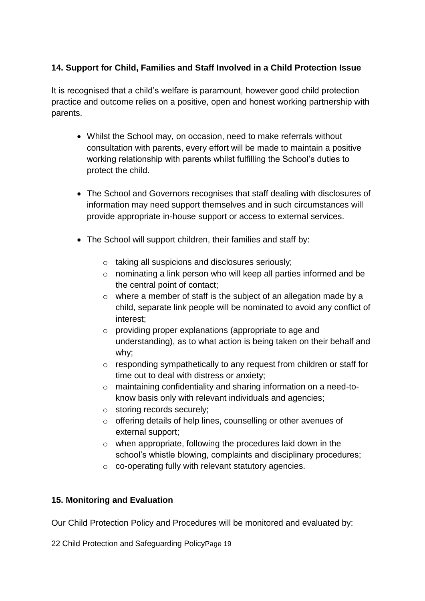# **14. Support for Child, Families and Staff Involved in a Child Protection Issue**

It is recognised that a child's welfare is paramount, however good child protection practice and outcome relies on a positive, open and honest working partnership with parents.

- Whilst the School may, on occasion, need to make referrals without consultation with parents, every effort will be made to maintain a positive working relationship with parents whilst fulfilling the School's duties to protect the child.
- The School and Governors recognises that staff dealing with disclosures of information may need support themselves and in such circumstances will provide appropriate in-house support or access to external services.
- The School will support children, their families and staff by:
	- o taking all suspicions and disclosures seriously;
	- o nominating a link person who will keep all parties informed and be the central point of contact;
	- o where a member of staff is the subject of an allegation made by a child, separate link people will be nominated to avoid any conflict of interest;
	- o providing proper explanations (appropriate to age and understanding), as to what action is being taken on their behalf and why;
	- o responding sympathetically to any request from children or staff for time out to deal with distress or anxiety;
	- o maintaining confidentiality and sharing information on a need-toknow basis only with relevant individuals and agencies;
	- o storing records securely;
	- o offering details of help lines, counselling or other avenues of external support;
	- o when appropriate, following the procedures laid down in the school's whistle blowing, complaints and disciplinary procedures;
	- o co-operating fully with relevant statutory agencies.

# **15. Monitoring and Evaluation**

Our Child Protection Policy and Procedures will be monitored and evaluated by: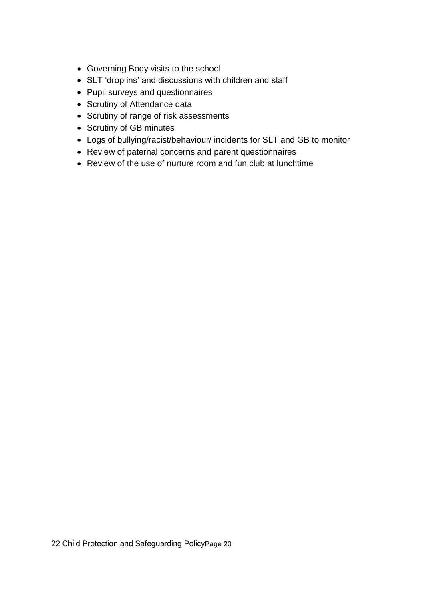- Governing Body visits to the school
- SLT 'drop ins' and discussions with children and staff
- Pupil surveys and questionnaires
- Scrutiny of Attendance data
- Scrutiny of range of risk assessments
- Scrutiny of GB minutes
- Logs of bullying/racist/behaviour/ incidents for SLT and GB to monitor
- Review of paternal concerns and parent questionnaires
- Review of the use of nurture room and fun club at lunchtime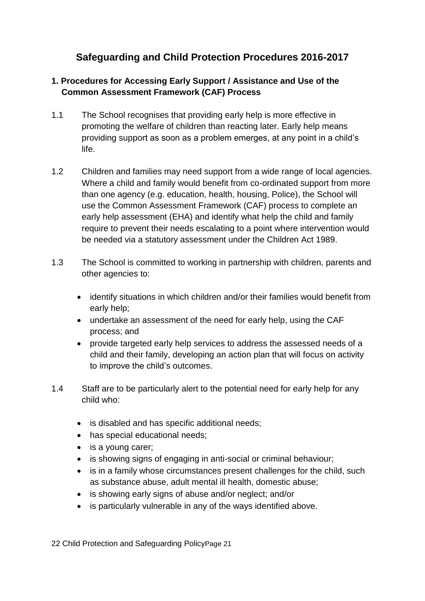# **Safeguarding and Child Protection Procedures 2016-2017**

# **1. Procedures for Accessing Early Support / Assistance and Use of the Common Assessment Framework (CAF) Process**

- 1.1 The School recognises that providing early help is more effective in promoting the welfare of children than reacting later. Early help means providing support as soon as a problem emerges, at any point in a child's life.
- 1.2 Children and families may need support from a wide range of local agencies. Where a child and family would benefit from co-ordinated support from more than one agency (e.g. education, health, housing, Police), the School will use the Common Assessment Framework (CAF) process to complete an early help assessment (EHA) and identify what help the child and family require to prevent their needs escalating to a point where intervention would be needed via a statutory assessment under the Children Act 1989.
- 1.3 The School is committed to working in partnership with children, parents and other agencies to:
	- identify situations in which children and/or their families would benefit from early help;
	- undertake an assessment of the need for early help, using the CAF process; and
	- provide targeted early help services to address the assessed needs of a child and their family, developing an action plan that will focus on activity to improve the child's outcomes.
- 1.4 Staff are to be particularly alert to the potential need for early help for any child who:
	- is disabled and has specific additional needs;
	- has special educational needs;
	- is a young carer;
	- is showing signs of engaging in anti-social or criminal behaviour;
	- is in a family whose circumstances present challenges for the child, such as substance abuse, adult mental ill health, domestic abuse;
	- is showing early signs of abuse and/or neglect; and/or
	- is particularly vulnerable in any of the ways identified above.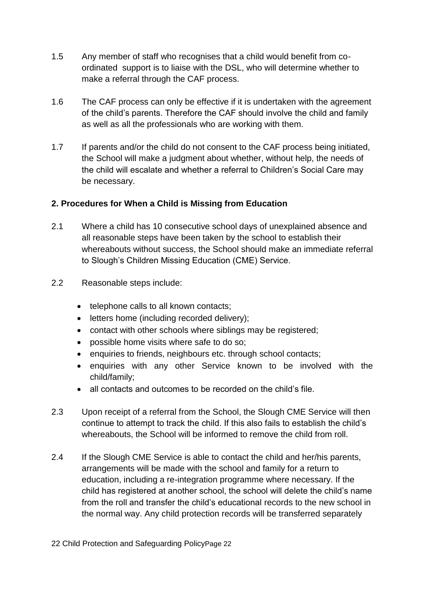- 1.5 Any member of staff who recognises that a child would benefit from coordinated support is to liaise with the DSL, who will determine whether to make a referral through the CAF process.
- 1.6 The CAF process can only be effective if it is undertaken with the agreement of the child's parents. Therefore the CAF should involve the child and family as well as all the professionals who are working with them.
- 1.7 If parents and/or the child do not consent to the CAF process being initiated, the School will make a judgment about whether, without help, the needs of the child will escalate and whether a referral to Children's Social Care may be necessary.

# **2. Procedures for When a Child is Missing from Education**

- 2.1 Where a child has 10 consecutive school days of unexplained absence and all reasonable steps have been taken by the school to establish their whereabouts without success, the School should make an immediate referral to Slough's Children Missing Education (CME) Service.
- 2.2 Reasonable steps include:
	- telephone calls to all known contacts;
	- letters home (including recorded delivery);
	- contact with other schools where siblings may be registered;
	- possible home visits where safe to do so;
	- enquiries to friends, neighbours etc. through school contacts;
	- enquiries with any other Service known to be involved with the child/family;
	- all contacts and outcomes to be recorded on the child's file.
- 2.3 Upon receipt of a referral from the School, the Slough CME Service will then continue to attempt to track the child. If this also fails to establish the child's whereabouts, the School will be informed to remove the child from roll.
- 2.4 If the Slough CME Service is able to contact the child and her/his parents, arrangements will be made with the school and family for a return to education, including a re-integration programme where necessary. If the child has registered at another school, the school will delete the child's name from the roll and transfer the child's educational records to the new school in the normal way. Any child protection records will be transferred separately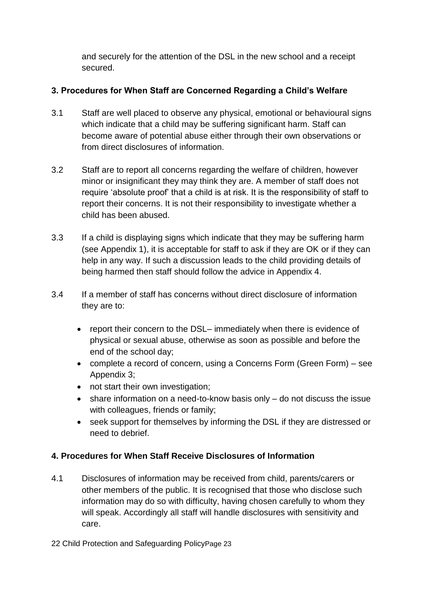and securely for the attention of the DSL in the new school and a receipt secured.

# **3. Procedures for When Staff are Concerned Regarding a Child's Welfare**

- 3.1 Staff are well placed to observe any physical, emotional or behavioural signs which indicate that a child may be suffering significant harm. Staff can become aware of potential abuse either through their own observations or from direct disclosures of information.
- 3.2 Staff are to report all concerns regarding the welfare of children, however minor or insignificant they may think they are. A member of staff does not require 'absolute proof' that a child is at risk. It is the responsibility of staff to report their concerns. It is not their responsibility to investigate whether a child has been abused.
- 3.3 If a child is displaying signs which indicate that they may be suffering harm (see Appendix 1), it is acceptable for staff to ask if they are OK or if they can help in any way. If such a discussion leads to the child providing details of being harmed then staff should follow the advice in Appendix 4.
- 3.4 If a member of staff has concerns without direct disclosure of information they are to:
	- report their concern to the DSL– immediately when there is evidence of physical or sexual abuse, otherwise as soon as possible and before the end of the school day;
	- complete a record of concern, using a Concerns Form (Green Form) see Appendix 3;
	- not start their own investigation;
	- share information on a need-to-know basis only do not discuss the issue with colleagues, friends or family;
	- seek support for themselves by informing the DSL if they are distressed or need to debrief.

# **4. Procedures for When Staff Receive Disclosures of Information**

4.1 Disclosures of information may be received from child, parents/carers or other members of the public. It is recognised that those who disclose such information may do so with difficulty, having chosen carefully to whom they will speak. Accordingly all staff will handle disclosures with sensitivity and care.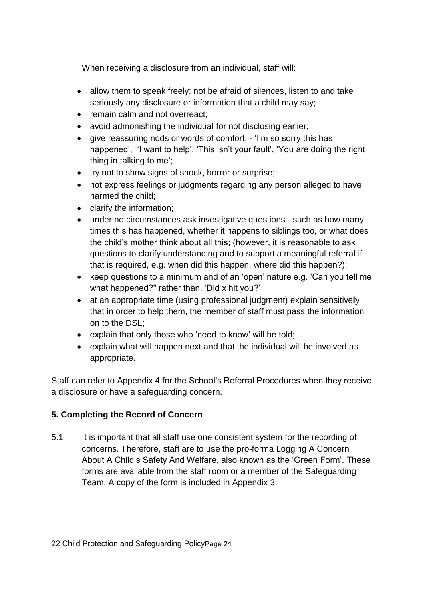When receiving a disclosure from an individual, staff will:

- allow them to speak freely; not be afraid of silences, listen to and take seriously any disclosure or information that a child may say;
- remain calm and not overreact:
- avoid admonishing the individual for not disclosing earlier;
- give reassuring nods or words of comfort, 'I'm so sorry this has happened', 'I want to help', 'This isn't your fault', 'You are doing the right thing in talking to me';
- try not to show signs of shock, horror or surprise;
- not express feelings or judgments regarding any person alleged to have harmed the child;
- clarify the information;
- under no circumstances ask investigative questions such as how many times this has happened, whether it happens to siblings too, or what does the child's mother think about all this; (however, it is reasonable to ask questions to clarify understanding and to support a meaningful referral if that is required, e.g. when did this happen, where did this happen?);
- keep questions to a minimum and of an 'open' nature e.g. 'Can you tell me what happened?" rather than, 'Did x hit you?'
- at an appropriate time (using professional judgment) explain sensitively that in order to help them, the member of staff must pass the information on to the DSL;
- explain that only those who 'need to know' will be told;
- explain what will happen next and that the individual will be involved as appropriate.

Staff can refer to Appendix 4 for the School's Referral Procedures when they receive a disclosure or have a safeguarding concern.

# **5. Completing the Record of Concern**

5.1 It is important that all staff use one consistent system for the recording of concerns. Therefore, staff are to use the pro-forma Logging A Concern About A Child's Safety And Welfare, also known as the 'Green Form'. These forms are available from the staff room or a member of the Safeguarding Team. A copy of the form is included in Appendix 3.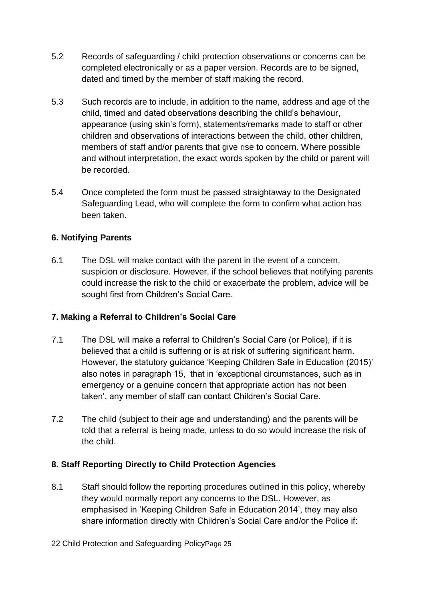- 5.2 Records of safeguarding / child protection observations or concerns can be completed electronically or as a paper version. Records are to be signed, dated and timed by the member of staff making the record.
- 5.3 Such records are to include, in addition to the name, address and age of the child, timed and dated observations describing the child's behaviour, appearance (using skin's form), statements/remarks made to staff or other children and observations of interactions between the child, other children, members of staff and/or parents that give rise to concern. Where possible and without interpretation, the exact words spoken by the child or parent will be recorded.
- 5.4 Once completed the form must be passed straightaway to the Designated Safeguarding Lead, who will complete the form to confirm what action has been taken.

# **6. Notifying Parents**

6.1 The DSL will make contact with the parent in the event of a concern, suspicion or disclosure. However, if the school believes that notifying parents could increase the risk to the child or exacerbate the problem, advice will be sought first from Children's Social Care.

# **7. Making a Referral to Children's Social Care**

- 7.1 The DSL will make a referral to Children's Social Care (or Police), if it is believed that a child is suffering or is at risk of suffering significant harm. However, the statutory guidance 'Keeping Children Safe in Education (2015)' also notes in paragraph 15, that in 'exceptional circumstances, such as in emergency or a genuine concern that appropriate action has not been taken', any member of staff can contact Children's Social Care.
- 7.2 The child (subject to their age and understanding) and the parents will be told that a referral is being made, unless to do so would increase the risk of the child.

# **8. Staff Reporting Directly to Child Protection Agencies**

8.1 Staff should follow the reporting procedures outlined in this policy, whereby they would normally report any concerns to the DSL. However, as emphasised in 'Keeping Children Safe in Education 2014', they may also share information directly with Children's Social Care and/or the Police if: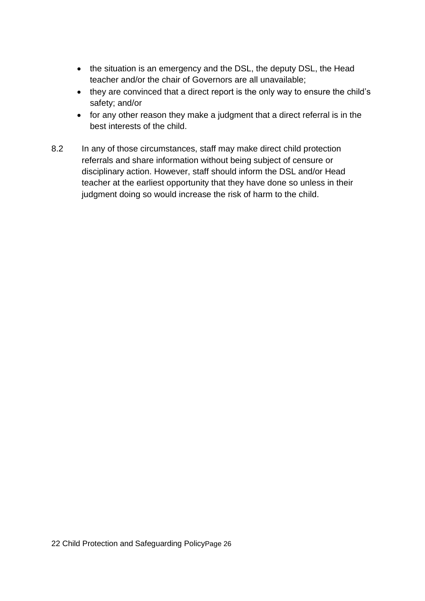- the situation is an emergency and the DSL, the deputy DSL, the Head teacher and/or the chair of Governors are all unavailable;
- they are convinced that a direct report is the only way to ensure the child's safety; and/or
- for any other reason they make a judgment that a direct referral is in the best interests of the child.
- 8.2 In any of those circumstances, staff may make direct child protection referrals and share information without being subject of censure or disciplinary action. However, staff should inform the DSL and/or Head teacher at the earliest opportunity that they have done so unless in their judgment doing so would increase the risk of harm to the child.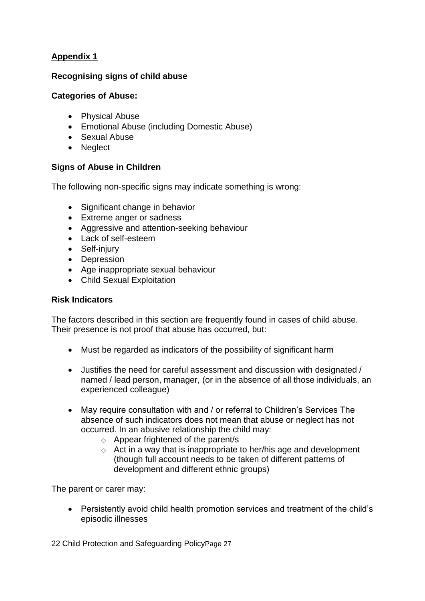#### **Recognising signs of child abuse**

#### **Categories of Abuse:**

- Physical Abuse
- Emotional Abuse (including Domestic Abuse)
- Sexual Abuse
- Neglect

#### **Signs of Abuse in Children**

The following non-specific signs may indicate something is wrong:

- Significant change in behavior
- Extreme anger or sadness
- Aggressive and attention-seeking behaviour
- Lack of self-esteem
- Self-injury
- Depression
- Age inappropriate sexual behaviour
- Child Sexual Exploitation

#### **Risk Indicators**

The factors described in this section are frequently found in cases of child abuse. Their presence is not proof that abuse has occurred, but:

- Must be regarded as indicators of the possibility of significant harm
- Justifies the need for careful assessment and discussion with designated / named / lead person, manager, (or in the absence of all those individuals, an experienced colleague)
- May require consultation with and / or referral to Children's Services The absence of such indicators does not mean that abuse or neglect has not occurred. In an abusive relationship the child may:
	- o Appear frightened of the parent/s
	- o Act in a way that is inappropriate to her/his age and development (though full account needs to be taken of different patterns of development and different ethnic groups)

The parent or carer may:

• Persistently avoid child health promotion services and treatment of the child's episodic illnesses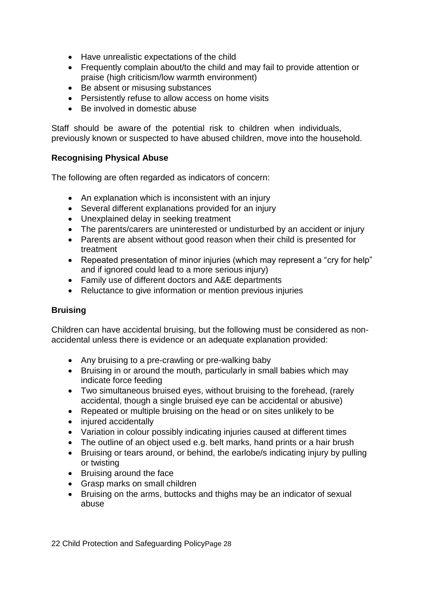- Have unrealistic expectations of the child
- Frequently complain about/to the child and may fail to provide attention or praise (high criticism/low warmth environment)
- Be absent or misusing substances
- Persistently refuse to allow access on home visits
- Be involved in domestic abuse

Staff should be aware of the potential risk to children when individuals, previously known or suspected to have abused children, move into the household.

#### **Recognising Physical Abuse**

The following are often regarded as indicators of concern:

- An explanation which is inconsistent with an injury
- Several different explanations provided for an injury
- Unexplained delay in seeking treatment
- The parents/carers are uninterested or undisturbed by an accident or injury
- Parents are absent without good reason when their child is presented for treatment
- Repeated presentation of minor injuries (which may represent a "cry for help" and if ignored could lead to a more serious injury)
- Family use of different doctors and A&E departments
- Reluctance to give information or mention previous injuries

# **Bruising**

Children can have accidental bruising, but the following must be considered as nonaccidental unless there is evidence or an adequate explanation provided:

- Any bruising to a pre-crawling or pre-walking baby
- Bruising in or around the mouth, particularly in small babies which may indicate force feeding
- Two simultaneous bruised eyes, without bruising to the forehead, (rarely accidental, though a single bruised eye can be accidental or abusive)
- Repeated or multiple bruising on the head or on sites unlikely to be
- injured accidentally
- Variation in colour possibly indicating injuries caused at different times
- The outline of an object used e.g. belt marks, hand prints or a hair brush
- Bruising or tears around, or behind, the earlobe/s indicating injury by pulling or twisting
- Bruising around the face
- Grasp marks on small children
- Bruising on the arms, buttocks and thighs may be an indicator of sexual abuse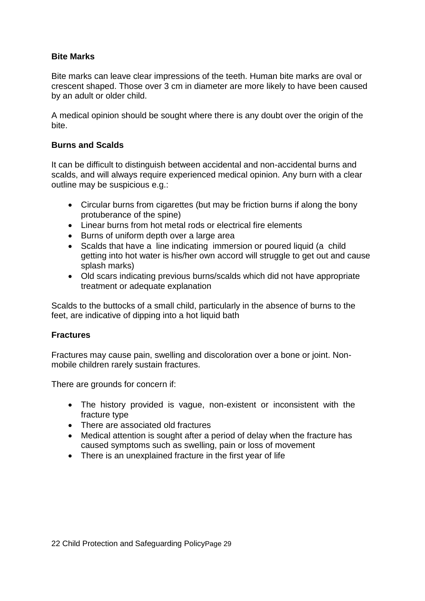#### **Bite Marks**

Bite marks can leave clear impressions of the teeth. Human bite marks are oval or crescent shaped. Those over 3 cm in diameter are more likely to have been caused by an adult or older child.

A medical opinion should be sought where there is any doubt over the origin of the bite.

#### **Burns and Scalds**

It can be difficult to distinguish between accidental and non-accidental burns and scalds, and will always require experienced medical opinion. Any burn with a clear outline may be suspicious e.g.:

- Circular burns from cigarettes (but may be friction burns if along the bony protuberance of the spine)
- Linear burns from hot metal rods or electrical fire elements
- Burns of uniform depth over a large area
- Scalds that have a line indicating immersion or poured liquid (a child getting into hot water is his/her own accord will struggle to get out and cause splash marks)
- Old scars indicating previous burns/scalds which did not have appropriate treatment or adequate explanation

Scalds to the buttocks of a small child, particularly in the absence of burns to the feet, are indicative of dipping into a hot liquid bath

#### **Fractures**

Fractures may cause pain, swelling and discoloration over a bone or joint. Nonmobile children rarely sustain fractures.

There are grounds for concern if:

- The history provided is vague, non-existent or inconsistent with the fracture type
- There are associated old fractures
- Medical attention is sought after a period of delay when the fracture has caused symptoms such as swelling, pain or loss of movement
- There is an unexplained fracture in the first year of life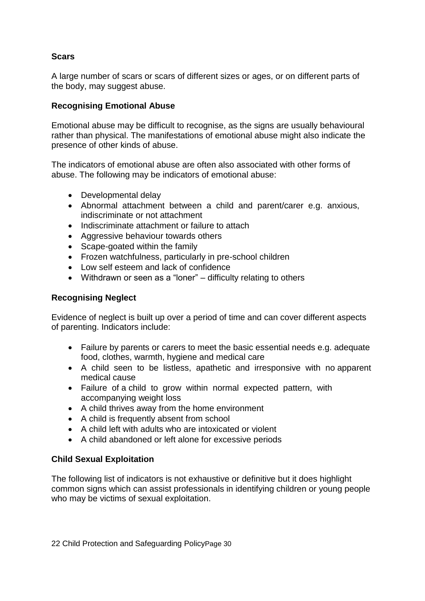#### **Scars**

A large number of scars or scars of different sizes or ages, or on different parts of the body, may suggest abuse.

#### **Recognising Emotional Abuse**

Emotional abuse may be difficult to recognise, as the signs are usually behavioural rather than physical. The manifestations of emotional abuse might also indicate the presence of other kinds of abuse.

The indicators of emotional abuse are often also associated with other forms of abuse. The following may be indicators of emotional abuse:

- Developmental delay
- Abnormal attachment between a child and parent/carer e.g. anxious, indiscriminate or not attachment
- Indiscriminate attachment or failure to attach
- Aggressive behaviour towards others
- Scape-goated within the family
- Frozen watchfulness, particularly in pre-school children
- Low self esteem and lack of confidence
- Withdrawn or seen as a "loner" difficulty relating to others

#### **Recognising Neglect**

Evidence of neglect is built up over a period of time and can cover different aspects of parenting. Indicators include:

- Failure by parents or carers to meet the basic essential needs e.g. adequate food, clothes, warmth, hygiene and medical care
- A child seen to be listless, apathetic and irresponsive with no apparent medical cause
- Failure of a child to grow within normal expected pattern, with accompanying weight loss
- A child thrives away from the home environment
- A child is frequently absent from school
- A child left with adults who are intoxicated or violent
- A child abandoned or left alone for excessive periods

# **Child Sexual Exploitation**

The following list of indicators is not exhaustive or definitive but it does highlight common signs which can assist professionals in identifying children or young people who may be victims of sexual exploitation.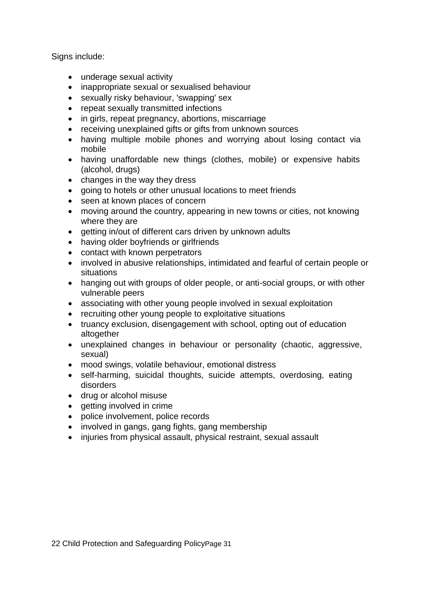Signs include:

- underage sexual activity
- inappropriate sexual or sexualised behaviour
- sexually risky behaviour, 'swapping' sex
- repeat sexually transmitted infections
- in girls, repeat pregnancy, abortions, miscarriage
- receiving unexplained gifts or gifts from unknown sources
- having multiple mobile phones and worrying about losing contact via mobile
- having unaffordable new things (clothes, mobile) or expensive habits (alcohol, drugs)
- changes in the way they dress
- going to hotels or other unusual locations to meet friends
- seen at known places of concern
- moving around the country, appearing in new towns or cities, not knowing where they are
- getting in/out of different cars driven by unknown adults
- having older boyfriends or girlfriends
- contact with known perpetrators
- involved in abusive relationships, intimidated and fearful of certain people or situations
- hanging out with groups of older people, or anti-social groups, or with other vulnerable peers
- associating with other young people involved in sexual exploitation
- recruiting other young people to exploitative situations
- truancy exclusion, disengagement with school, opting out of education altogether
- unexplained changes in behaviour or personality (chaotic, aggressive, sexual)
- mood swings, volatile behaviour, emotional distress
- self-harming, suicidal thoughts, suicide attempts, overdosing, eating disorders
- drug or alcohol misuse
- getting involved in crime
- police involvement, police records
- involved in gangs, gang fights, gang membership
- injuries from physical assault, physical restraint, sexual assault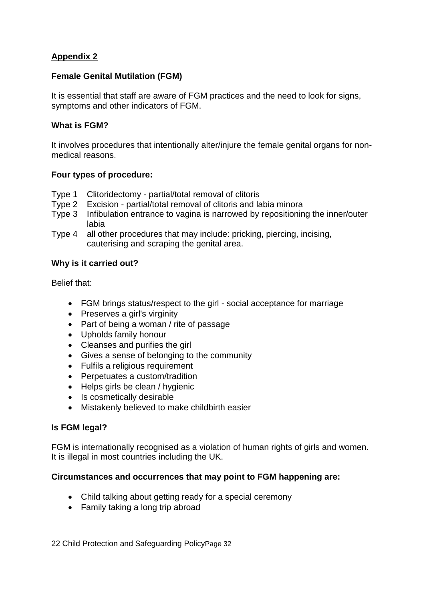#### **Female Genital Mutilation (FGM)**

It is essential that staff are aware of FGM practices and the need to look for signs, symptoms and other indicators of FGM.

#### **What is FGM?**

It involves procedures that intentionally alter/injure the female genital organs for nonmedical reasons.

#### **Four types of procedure:**

- Type 1 Clitoridectomy partial/total removal of clitoris
- Type 2 Excision partial/total removal of clitoris and labia minora
- Type 3 Infibulation entrance to vagina is narrowed by repositioning the inner/outer labia
- Type 4 all other procedures that may include: pricking, piercing, incising, cauterising and scraping the genital area.

# **Why is it carried out?**

Belief that:

- FGM brings status/respect to the girl social acceptance for marriage
- Preserves a girl's virginity
- Part of being a woman / rite of passage
- Upholds family honour
- Cleanses and purifies the girl
- Gives a sense of belonging to the community
- Fulfils a religious requirement
- Perpetuates a custom/tradition
- Helps girls be clean / hygienic
- Is cosmetically desirable
- Mistakenly believed to make childbirth easier

#### **Is FGM legal?**

FGM is internationally recognised as a violation of human rights of girls and women. It is illegal in most countries including the UK.

#### **Circumstances and occurrences that may point to FGM happening are:**

- Child talking about getting ready for a special ceremony
- Family taking a long trip abroad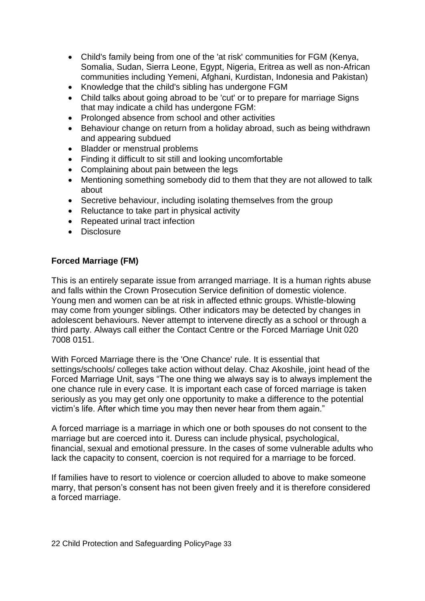- Child's family being from one of the 'at risk' communities for FGM (Kenya, Somalia, Sudan, Sierra Leone, Egypt, Nigeria, Eritrea as well as non-African communities including Yemeni, Afghani, Kurdistan, Indonesia and Pakistan)
- Knowledge that the child's sibling has undergone FGM
- Child talks about going abroad to be 'cut' or to prepare for marriage Signs that may indicate a child has undergone FGM:
- Prolonged absence from school and other activities
- Behaviour change on return from a holiday abroad, such as being withdrawn and appearing subdued
- Bladder or menstrual problems
- Finding it difficult to sit still and looking uncomfortable
- Complaining about pain between the legs
- Mentioning something somebody did to them that they are not allowed to talk about
- Secretive behaviour, including isolating themselves from the group
- Reluctance to take part in physical activity
- Repeated urinal tract infection
- Disclosure

#### **Forced Marriage (FM)**

This is an entirely separate issue from arranged marriage. It is a human rights abuse and falls within the Crown Prosecution Service definition of domestic violence. Young men and women can be at risk in affected ethnic groups. Whistle-blowing may come from younger siblings. Other indicators may be detected by changes in adolescent behaviours. Never attempt to intervene directly as a school or through a third party. Always call either the Contact Centre or the Forced Marriage Unit 020 7008 0151.

With Forced Marriage there is the 'One Chance' rule. It is essential that settings/schools/ colleges take action without delay. Chaz Akoshile, joint head of the Forced Marriage Unit, says "The one thing we always say is to always implement the one chance rule in every case. It is important each case of forced marriage is taken seriously as you may get only one opportunity to make a difference to the potential victim's life. After which time you may then never hear from them again."

A forced marriage is a marriage in which one or both spouses do not consent to the marriage but are coerced into it. Duress can include physical, psychological, financial, sexual and emotional pressure. In the cases of some vulnerable adults who lack the capacity to consent, coercion is not required for a marriage to be forced.

If families have to resort to violence or coercion alluded to above to make someone marry, that person's consent has not been given freely and it is therefore considered a forced marriage.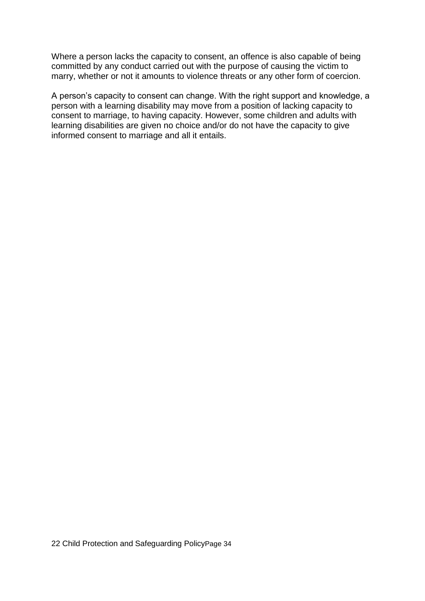Where a person lacks the capacity to consent, an offence is also capable of being committed by any conduct carried out with the purpose of causing the victim to marry, whether or not it amounts to violence threats or any other form of coercion.

A person's capacity to consent can change. With the right support and knowledge, a person with a learning disability may move from a position of lacking capacity to consent to marriage, to having capacity. However, some children and adults with learning disabilities are given no choice and/or do not have the capacity to give informed consent to marriage and all it entails.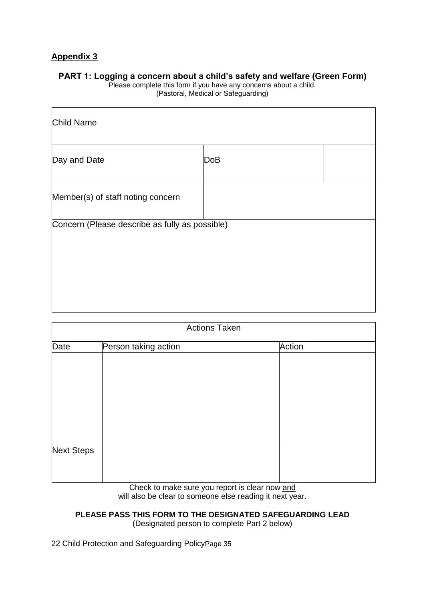#### **PART 1: Logging a concern about a child's safety and welfare (Green Form)**

Please complete this form if you have any concerns about a child. (Pastoral, Medical or Safeguarding)

| <b>Child Name</b>                              |            |  |
|------------------------------------------------|------------|--|
| Day and Date                                   | <b>DoB</b> |  |
| Member(s) of staff noting concern              |            |  |
| Concern (Please describe as fully as possible) |            |  |

| <b>Actions Taken</b> |                      |        |  |
|----------------------|----------------------|--------|--|
| Date                 | Person taking action | Action |  |
|                      |                      |        |  |
|                      |                      |        |  |
|                      |                      |        |  |
|                      |                      |        |  |
|                      |                      |        |  |
|                      |                      |        |  |
| Next Steps           |                      |        |  |
|                      |                      |        |  |
|                      |                      |        |  |

Check to make sure you report is clear now and will also be clear to someone else reading it next year.

# **PLEASE PASS THIS FORM TO THE DESIGNATED SAFEGUARDING LEAD**

(Designated person to complete Part 2 below)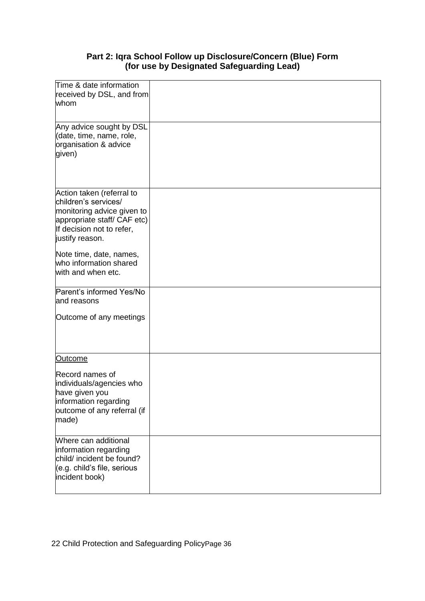# **Part 2: Iqra School Follow up Disclosure/Concern (Blue) Form (for use by Designated Safeguarding Lead)**

| Time & date information<br>received by DSL, and from<br>whom                                                                                                   |  |
|----------------------------------------------------------------------------------------------------------------------------------------------------------------|--|
| Any advice sought by DSL<br>(date, time, name, role,<br>organisation & advice<br>given)                                                                        |  |
| Action taken (referral to<br>children's services/<br>monitoring advice given to<br>appropriate staff/ CAF etc)<br>If decision not to refer,<br>justify reason. |  |
| Note time, date, names,<br>who information shared<br>with and when etc.                                                                                        |  |
| Parent's informed Yes/No<br>and reasons<br>Outcome of any meetings                                                                                             |  |
| <u>Outcome</u>                                                                                                                                                 |  |
| Record names of<br>individuals/agencies who<br>have given you<br>information regarding<br>outcome of any referral (if<br>made)                                 |  |
| Where can additional<br>information regarding<br>child/ incident be found?<br>(e.g. child's file, serious<br>incident book)                                    |  |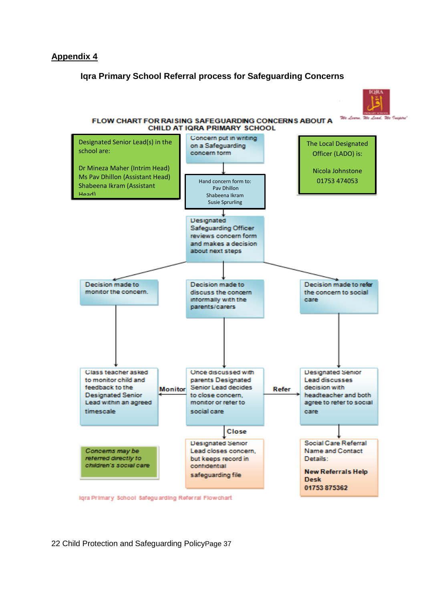#### **Iqra Primary School Referral process for Safeguarding Concerns**



#### FLOW CHART FOR RAISING SAFEGUARDING CONCERNS ABOUT A CHILD AT IQRA PRIMARY SCHOOL

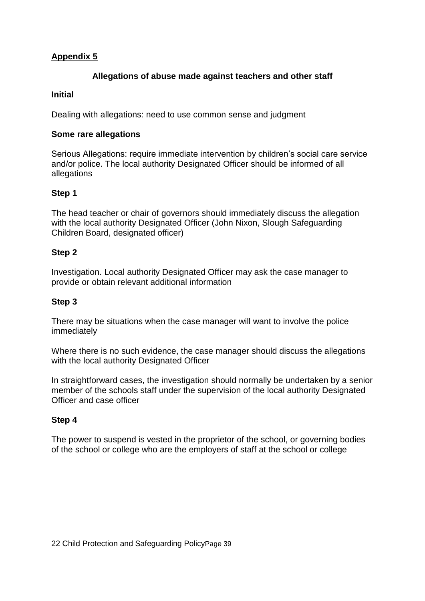#### **Allegations of abuse made against teachers and other staff**

#### **Initial**

Dealing with allegations: need to use common sense and judgment

#### **Some rare allegations**

Serious Allegations: require immediate intervention by children's social care service and/or police. The local authority Designated Officer should be informed of all allegations

# **Step 1**

The head teacher or chair of governors should immediately discuss the allegation with the local authority Designated Officer (John Nixon, Slough Safeguarding Children Board, designated officer)

#### **Step 2**

Investigation. Local authority Designated Officer may ask the case manager to provide or obtain relevant additional information

#### **Step 3**

There may be situations when the case manager will want to involve the police immediately

Where there is no such evidence, the case manager should discuss the allegations with the local authority Designated Officer

In straightforward cases, the investigation should normally be undertaken by a senior member of the schools staff under the supervision of the local authority Designated Officer and case officer

# **Step 4**

The power to suspend is vested in the proprietor of the school, or governing bodies of the school or college who are the employers of staff at the school or college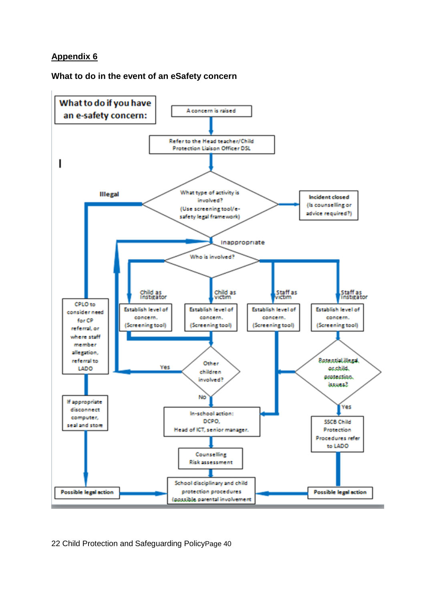#### **What to do in the event of an eSafety concern**

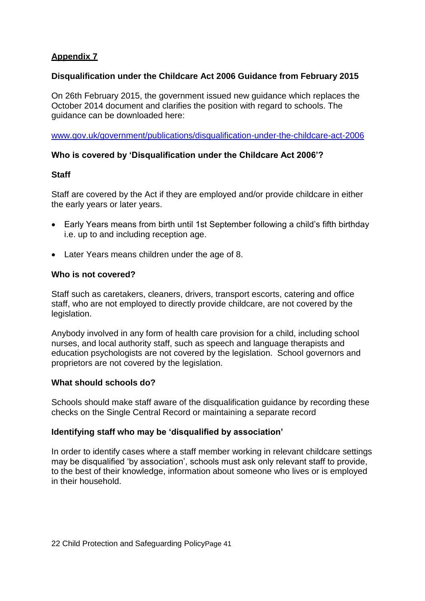#### **Disqualification under the Childcare Act 2006 Guidance from February 2015**

On 26th February 2015, the government issued new guidance which replaces the October 2014 document and clarifies the position with regard to schools. The guidance can be downloaded here:

[www.gov.uk/government/publications/disqualification-under-the-childcare-act-2006](http://www.gov.uk/government/publications/disqualification-under-the-childcare-act-2006)

#### **Who is covered by 'Disqualification under the Childcare Act 2006'?**

#### **Staff**

Staff are covered by the Act if they are employed and/or provide childcare in either the early years or later years.

- Early Years means from birth until 1st September following a child's fifth birthday i.e. up to and including reception age.
- Later Years means children under the age of 8.

#### **Who is not covered?**

Staff such as caretakers, cleaners, drivers, transport escorts, catering and office staff, who are not employed to directly provide childcare, are not covered by the legislation.

Anybody involved in any form of health care provision for a child, including school nurses, and local authority staff, such as speech and language therapists and education psychologists are not covered by the legislation. School governors and proprietors are not covered by the legislation.

#### **What should schools do?**

Schools should make staff aware of the disqualification guidance by recording these checks on the Single Central Record or maintaining a separate record

#### **Identifying staff who may be 'disqualified by association'**

In order to identify cases where a staff member working in relevant childcare settings may be disqualified 'by association', schools must ask only relevant staff to provide, to the best of their knowledge, information about someone who lives or is employed in their household.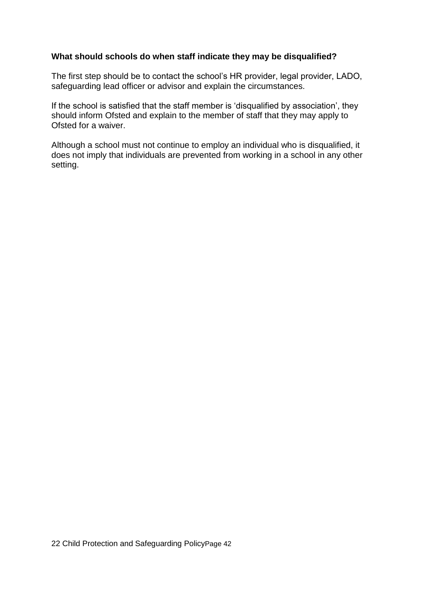#### **What should schools do when staff indicate they may be disqualified?**

The first step should be to contact the school's HR provider, legal provider, LADO, safeguarding lead officer or advisor and explain the circumstances.

If the school is satisfied that the staff member is 'disqualified by association', they should inform Ofsted and explain to the member of staff that they may apply to Ofsted for a waiver.

Although a school must not continue to employ an individual who is disqualified, it does not imply that individuals are prevented from working in a school in any other setting.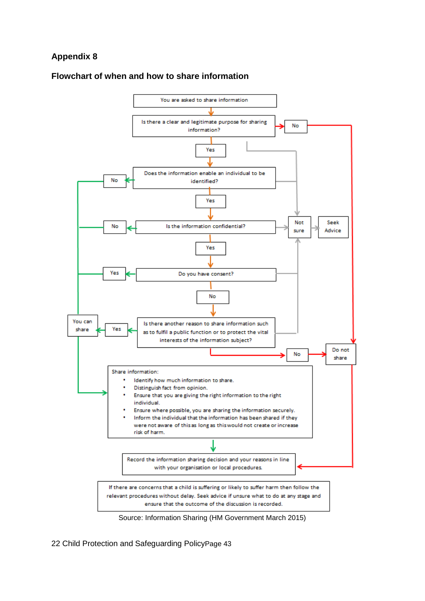#### **Flowchart of when and how to share information**